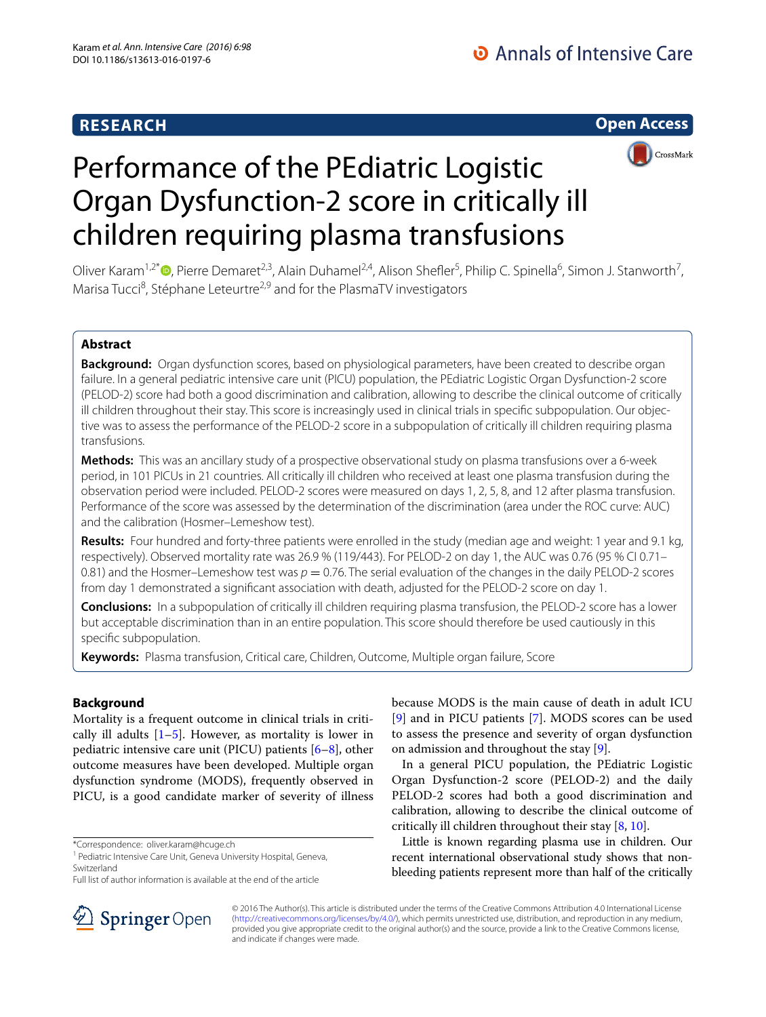# **RESEARCH**

**Open Access**



# Performance of the PEdiatric Logistic Organ Dysfunction-2 score in critically ill children requiring plasma transfusions

Oliver Karam<sup>1[,](http://orcid.org/0000-0001-6606-1736)2\*</sup>®, Pierre Demaret<sup>2,3</sup>, Alain Duhamel<sup>2,4</sup>, Alison Shefler<sup>5</sup>, Philip C. Spinella<sup>6</sup>, Simon J. Stanworth<sup>7</sup>, Marisa Tucci<sup>8</sup>, Stéphane Leteurtre<sup>2,9</sup> and for the PlasmaTV investigators

# **Abstract**

**Background:** Organ dysfunction scores, based on physiological parameters, have been created to describe organ failure. In a general pediatric intensive care unit (PICU) population, the PEdiatric Logistic Organ Dysfunction-2 score (PELOD-2) score had both a good discrimination and calibration, allowing to describe the clinical outcome of critically ill children throughout their stay. This score is increasingly used in clinical trials in specific subpopulation. Our objective was to assess the performance of the PELOD-2 score in a subpopulation of critically ill children requiring plasma transfusions.

**Methods:** This was an ancillary study of a prospective observational study on plasma transfusions over a 6-week period, in 101 PICUs in 21 countries. All critically ill children who received at least one plasma transfusion during the observation period were included. PELOD-2 scores were measured on days 1, 2, 5, 8, and 12 after plasma transfusion. Performance of the score was assessed by the determination of the discrimination (area under the ROC curve: AUC) and the calibration (Hosmer–Lemeshow test).

**Results:** Four hundred and forty-three patients were enrolled in the study (median age and weight: 1 year and 9.1 kg, respectively). Observed mortality rate was 26.9 % (119/443). For PELOD-2 on day 1, the AUC was 0.76 (95 % CI 0.71– 0.81) and the Hosmer–Lemeshow test was  $p = 0.76$ . The serial evaluation of the changes in the daily PELOD-2 scores from day 1 demonstrated a significant association with death, adjusted for the PELOD-2 score on day 1.

**Conclusions:** In a subpopulation of critically ill children requiring plasma transfusion, the PELOD-2 score has a lower but acceptable discrimination than in an entire population. This score should therefore be used cautiously in this specific subpopulation.

**Keywords:** Plasma transfusion, Critical care, Children, Outcome, Multiple organ failure, Score

# **Background**

Mortality is a frequent outcome in clinical trials in critically ill adults  $[1–5]$  $[1–5]$  $[1–5]$ . However, as mortality is lower in pediatric intensive care unit (PICU) patients [[6–](#page-6-2)[8\]](#page-6-3), other outcome measures have been developed. Multiple organ dysfunction syndrome (MODS), frequently observed in PICU, is a good candidate marker of severity of illness

\*Correspondence: oliver.karam@hcuge.ch

<sup>1</sup> Pediatric Intensive Care Unit, Geneva University Hospital, Geneva, Switzerland



In a general PICU population, the PEdiatric Logistic Organ Dysfunction-2 score (PELOD-2) and the daily PELOD-2 scores had both a good discrimination and calibration, allowing to describe the clinical outcome of critically ill children throughout their stay [[8,](#page-6-3) [10](#page-6-6)].

Little is known regarding plasma use in children. Our recent international observational study shows that nonbleeding patients represent more than half of the critically



© 2016 The Author(s). This article is distributed under the terms of the Creative Commons Attribution 4.0 International License [\(http://creativecommons.org/licenses/by/4.0/\)](http://creativecommons.org/licenses/by/4.0/), which permits unrestricted use, distribution, and reproduction in any medium, provided you give appropriate credit to the original author(s) and the source, provide a link to the Creative Commons license, and indicate if changes were made.

Full list of author information is available at the end of the article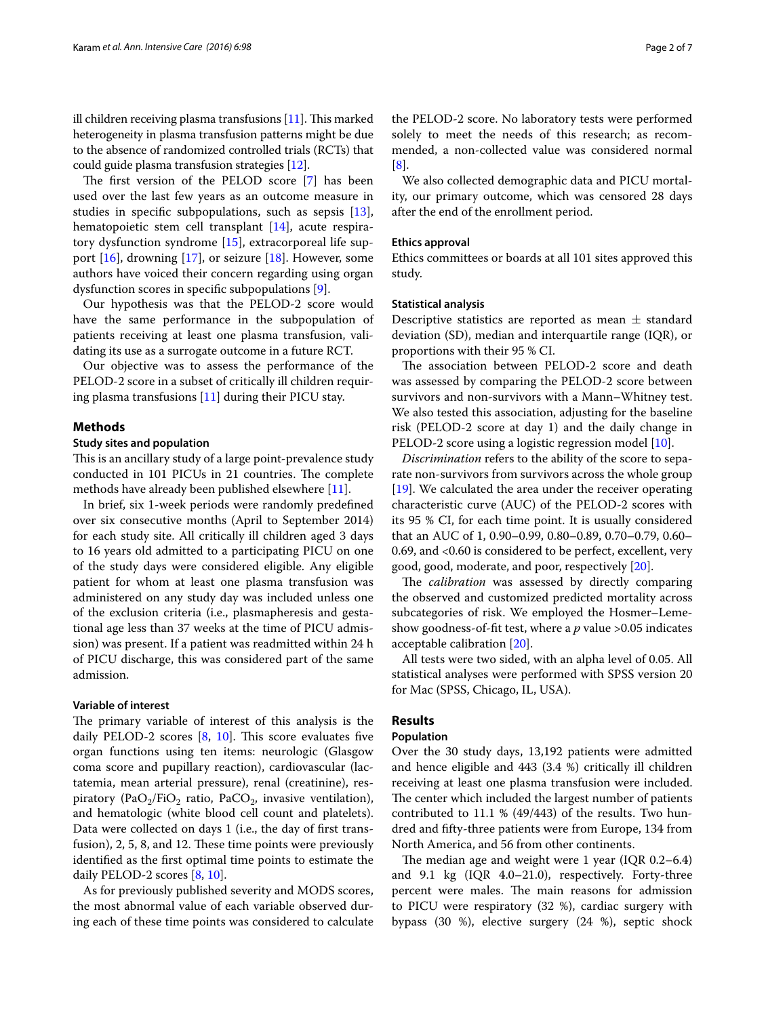ill children receiving plasma transfusions [[11\]](#page-6-7). This marked heterogeneity in plasma transfusion patterns might be due to the absence of randomized controlled trials (RCTs) that could guide plasma transfusion strategies [\[12\]](#page-6-8).

The first version of the PELOD score [[7\]](#page-6-5) has been used over the last few years as an outcome measure in studies in specific subpopulations, such as sepsis [\[13](#page-6-9)], hematopoietic stem cell transplant [\[14](#page-6-10)], acute respiratory dysfunction syndrome [[15](#page-6-11)], extracorporeal life sup-port [\[16](#page-6-12)], drowning [\[17](#page-6-13)], or seizure [\[18](#page-6-14)]. However, some authors have voiced their concern regarding using organ dysfunction scores in specific subpopulations [[9\]](#page-6-4).

Our hypothesis was that the PELOD-2 score would have the same performance in the subpopulation of patients receiving at least one plasma transfusion, validating its use as a surrogate outcome in a future RCT.

Our objective was to assess the performance of the PELOD-2 score in a subset of critically ill children requiring plasma transfusions [[11](#page-6-7)] during their PICU stay.

# **Methods**

# **Study sites and population**

This is an ancillary study of a large point-prevalence study conducted in 101 PICUs in 21 countries. The complete methods have already been published elsewhere [[11\]](#page-6-7).

In brief, six 1-week periods were randomly predefined over six consecutive months (April to September 2014) for each study site. All critically ill children aged 3 days to 16 years old admitted to a participating PICU on one of the study days were considered eligible. Any eligible patient for whom at least one plasma transfusion was administered on any study day was included unless one of the exclusion criteria (i.e., plasmapheresis and gestational age less than 37 weeks at the time of PICU admission) was present. If a patient was readmitted within 24 h of PICU discharge, this was considered part of the same admission.

# **Variable of interest**

The primary variable of interest of this analysis is the daily PELOD-2 scores [[8,](#page-6-3) [10](#page-6-6)]. This score evaluates five organ functions using ten items: neurologic (Glasgow coma score and pupillary reaction), cardiovascular (lactatemia, mean arterial pressure), renal (creatinine), respiratory (PaO<sub>2</sub>/FiO<sub>2</sub> ratio, PaCO<sub>2</sub>, invasive ventilation), and hematologic (white blood cell count and platelets). Data were collected on days 1 (i.e., the day of first transfusion), 2, 5, 8, and 12. These time points were previously identified as the first optimal time points to estimate the daily PELOD-2 scores [[8,](#page-6-3) [10](#page-6-6)].

As for previously published severity and MODS scores, the most abnormal value of each variable observed during each of these time points was considered to calculate the PELOD-2 score. No laboratory tests were performed solely to meet the needs of this research; as recommended, a non-collected value was considered normal [[8\]](#page-6-3).

We also collected demographic data and PICU mortality, our primary outcome, which was censored 28 days after the end of the enrollment period.

## **Ethics approval**

Ethics committees or boards at all 101 sites approved this study.

# **Statistical analysis**

Descriptive statistics are reported as mean  $\pm$  standard deviation (SD), median and interquartile range (IQR), or proportions with their 95 % CI.

The association between PELOD-2 score and death was assessed by comparing the PELOD-2 score between survivors and non-survivors with a Mann–Whitney test. We also tested this association, adjusting for the baseline risk (PELOD-2 score at day 1) and the daily change in PELOD-2 score using a logistic regression model [\[10](#page-6-6)].

*Discrimination* refers to the ability of the score to separate non-survivors from survivors across the whole group [[19\]](#page-6-15). We calculated the area under the receiver operating characteristic curve (AUC) of the PELOD-2 scores with its 95 % CI, for each time point. It is usually considered that an AUC of 1, 0.90–0.99, 0.80–0.89, 0.70–0.79, 0.60– 0.69, and <0.60 is considered to be perfect, excellent, very good, good, moderate, and poor, respectively [\[20\]](#page-6-16).

The *calibration* was assessed by directly comparing the observed and customized predicted mortality across subcategories of risk. We employed the Hosmer–Lemeshow goodness-of-fit test, where a *p* value >0.05 indicates acceptable calibration [\[20](#page-6-16)].

All tests were two sided, with an alpha level of 0.05. All statistical analyses were performed with SPSS version 20 for Mac (SPSS, Chicago, IL, USA).

# **Results**

# **Population**

Over the 30 study days, 13,192 patients were admitted and hence eligible and 443 (3.4 %) critically ill children receiving at least one plasma transfusion were included. The center which included the largest number of patients contributed to 11.1 % (49/443) of the results. Two hundred and fifty-three patients were from Europe, 134 from North America, and 56 from other continents.

The median age and weight were 1 year (IQR 0.2–6.4) and 9.1 kg (IQR 4.0–21.0), respectively. Forty-three percent were males. The main reasons for admission to PICU were respiratory (32 %), cardiac surgery with bypass (30 %), elective surgery (24 %), septic shock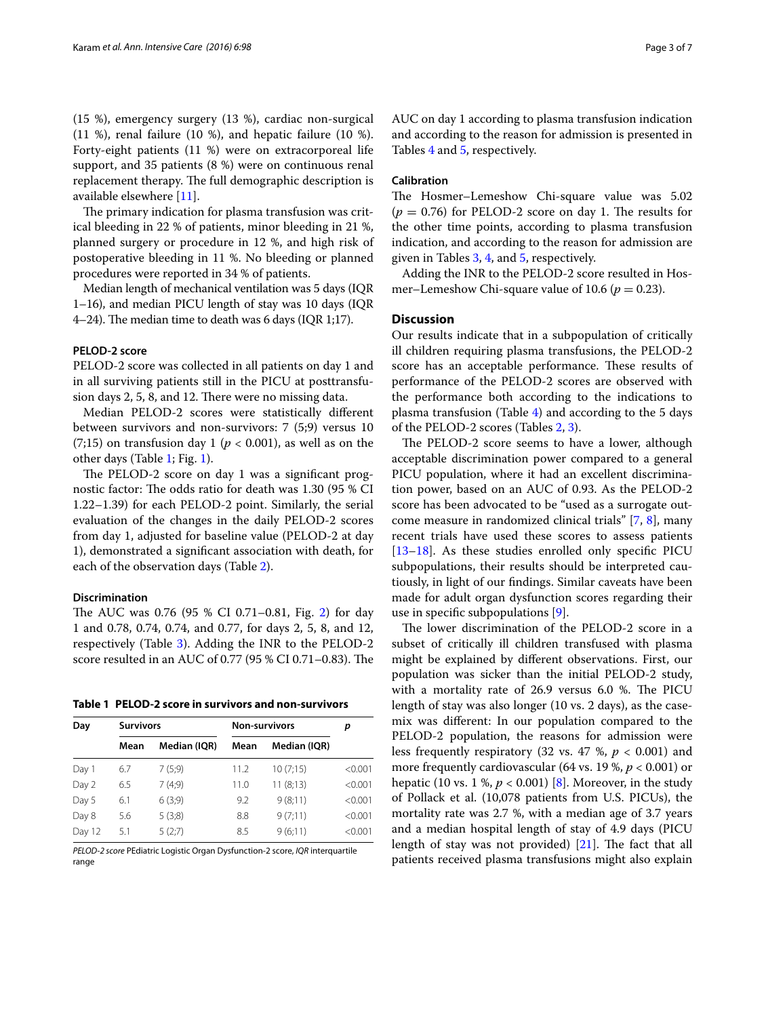(15 %), emergency surgery (13 %), cardiac non-surgical  $(11 \%)$ , renal failure  $(10 \%)$ , and hepatic failure  $(10 \%)$ . Forty-eight patients (11 %) were on extracorporeal life support, and 35 patients (8 %) were on continuous renal replacement therapy. The full demographic description is available elsewhere [\[11\]](#page-6-7).

The primary indication for plasma transfusion was critical bleeding in 22 % of patients, minor bleeding in 21 %, planned surgery or procedure in 12 %, and high risk of postoperative bleeding in 11 %. No bleeding or planned procedures were reported in 34 % of patients.

Median length of mechanical ventilation was 5 days (IQR 1–16), and median PICU length of stay was 10 days (IQR 4–24). The median time to death was 6 days (IQR 1;17).

## **PELOD‑2 score**

PELOD-2 score was collected in all patients on day 1 and in all surviving patients still in the PICU at posttransfusion days 2, 5, 8, and 12. There were no missing data.

Median PELOD-2 scores were statistically different between survivors and non-survivors: 7 (5;9) versus 10  $(7;15)$  on transfusion day 1 ( $p < 0.001$ ), as well as on the other days (Table [1](#page-2-0); Fig. [1\)](#page-3-0).

The PELOD-2 score on day 1 was a significant prognostic factor: The odds ratio for death was 1.30 (95 % CI 1.22–1.39) for each PELOD-2 point. Similarly, the serial evaluation of the changes in the daily PELOD-2 scores from day 1, adjusted for baseline value (PELOD-2 at day 1), demonstrated a significant association with death, for each of the observation days (Table [2](#page-3-1)).

# **Discrimination**

The AUC was 0.76 (95 % CI 0.71–0.81, Fig. [2](#page-4-0)) for day 1 and 0.78, 0.74, 0.74, and 0.77, for days 2, 5, 8, and 12, respectively (Table [3\)](#page-4-1). Adding the INR to the PELOD-2 score resulted in an AUC of 0.77 (95 % CI 0.71–0.83). The

<span id="page-2-0"></span>**Table 1 PELOD-2 score in survivors and non-survivors**

| Day    |      | <b>Survivors</b> |      | Non-survivors |         |  |
|--------|------|------------------|------|---------------|---------|--|
|        | Mean | Median (IQR)     | Mean | Median (IQR)  |         |  |
| Day 1  | 6.7  | 7(5,9)           | 11.2 | 10(7;15)      | < 0.001 |  |
| Day 2  | 6.5  | 7(4,9)           | 11.0 | 11(8;13)      | < 0.001 |  |
| Day 5  | 6.1  | 6(3,9)           | 9.2  | 9(8;11)       | < 0.001 |  |
| Day 8  | 5.6  | 5(3;8)           | 8.8  | 9(7;11)       | < 0.001 |  |
| Day 12 | 5.1  | 5(2;7)           | 8.5  | 9(6;11)       | < 0.001 |  |

*PELOD-2 score* PEdiatric Logistic Organ Dysfunction-2 score, *IQR* interquartile range

AUC on day 1 according to plasma transfusion indication and according to the reason for admission is presented in Tables [4](#page-4-2) and [5,](#page-5-0) respectively.

# **Calibration**

The Hosmer–Lemeshow Chi-square value was 5.02  $(p = 0.76)$  for PELOD-2 score on day 1. The results for the other time points, according to plasma transfusion indication, and according to the reason for admission are given in Tables [3,](#page-4-1) [4](#page-4-2), and [5](#page-5-0), respectively.

Adding the INR to the PELOD-2 score resulted in Hosmer–Lemeshow Chi-square value of 10.6 ( $p = 0.23$ ).

## **Discussion**

Our results indicate that in a subpopulation of critically ill children requiring plasma transfusions, the PELOD-2 score has an acceptable performance. These results of performance of the PELOD-2 scores are observed with the performance both according to the indications to plasma transfusion (Table [4\)](#page-4-2) and according to the 5 days of the PELOD-2 scores (Tables [2](#page-3-1), [3\)](#page-4-1).

The PELOD-2 score seems to have a lower, although acceptable discrimination power compared to a general PICU population, where it had an excellent discrimination power, based on an AUC of 0.93. As the PELOD-2 score has been advocated to be "used as a surrogate outcome measure in randomized clinical trials" [[7,](#page-6-5) [8\]](#page-6-3), many recent trials have used these scores to assess patients [[13–](#page-6-9)[18\]](#page-6-14). As these studies enrolled only specific PICU subpopulations, their results should be interpreted cautiously, in light of our findings. Similar caveats have been made for adult organ dysfunction scores regarding their use in specific subpopulations [\[9](#page-6-4)].

The lower discrimination of the PELOD-2 score in a subset of critically ill children transfused with plasma might be explained by different observations. First, our population was sicker than the initial PELOD-2 study, with a mortality rate of 26.9 versus 6.0 %. The PICU length of stay was also longer (10 vs. 2 days), as the casemix was different: In our population compared to the PELOD-2 population, the reasons for admission were less frequently respiratory  $(32 \text{ vs. } 47 \text{ %}, p < 0.001)$  and more frequently cardiovascular (64 vs. 19 %, *p* < 0.001) or hepatic (10 vs. 1 %,  $p < 0.001$ ) [[8](#page-6-3)]. Moreover, in the study of Pollack et al. (10,078 patients from U.S. PICUs), the mortality rate was 2.7 %, with a median age of 3.7 years and a median hospital length of stay of 4.9 days (PICU length of stay was not provided) [[21\]](#page-6-17). The fact that all patients received plasma transfusions might also explain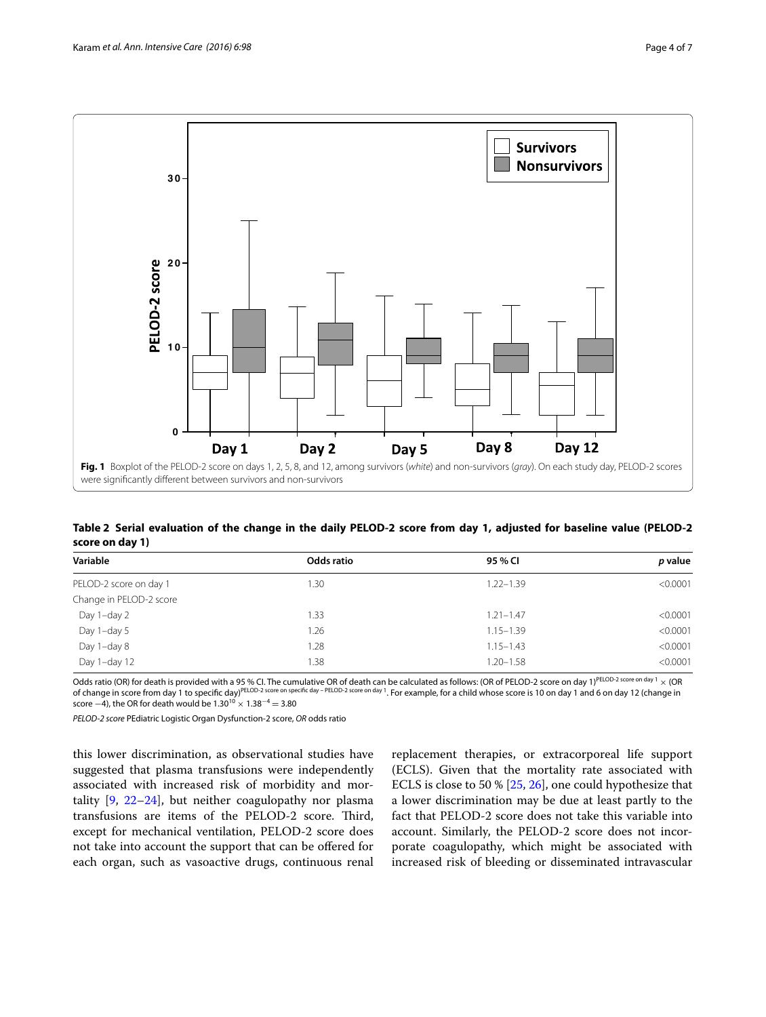

<span id="page-3-1"></span><span id="page-3-0"></span>**Table 2 Serial evaluation of the change in the daily PELOD-2 score from day 1, adjusted for baseline value (PELOD-2 score on day 1)**

| Variable                | Odds ratio | 95 % CI       | p value  |
|-------------------------|------------|---------------|----------|
| PELOD-2 score on day 1  | .30        | $1.22 - 1.39$ | < 0.0001 |
| Change in PELOD-2 score |            |               |          |
| Day 1-day 2             | .33        | $1.21 - 1.47$ | < 0.0001 |
| Day 1-day 5             | 1.26       | $1.15 - 1.39$ | < 0.0001 |
| Day 1-day 8             | .28        | $1.15 - 1.43$ | < 0.0001 |
| Day 1-day 12            | .38        | $1.20 - 1.58$ | < 0.0001 |

Odds ratio (OR) for death is provided with a 95 % CI. The cumulative OR of death can be calculated as follows: (OR of PELOD-2 score on day 1)<sup>PELOD-2 score on day 1</sup> × (OR of peloD-2 score on day 1 and 6 on day 1 and 6 on of change in score from day 1 to specific day)PELOD-2 score on specific day – PELOD-2 score on day 1. For example, for a child whose score is 10 on day 1 and 6 on day 12 (change in score  $-4$ ), the OR for death would be  $1.30^{10} \times 1.38^{-4} = 3.80$ 

*PELOD-2 score* PEdiatric Logistic Organ Dysfunction-2 score, *OR* odds ratio

this lower discrimination, as observational studies have suggested that plasma transfusions were independently associated with increased risk of morbidity and mortality [[9,](#page-6-4) [22](#page-6-18)[–24](#page-6-19)], but neither coagulopathy nor plasma transfusions are items of the PELOD-2 score. Third, except for mechanical ventilation, PELOD-2 score does not take into account the support that can be offered for each organ, such as vasoactive drugs, continuous renal

replacement therapies, or extracorporeal life support (ECLS). Given that the mortality rate associated with ECLS is close to 50 % [[25,](#page-6-20) [26](#page-6-21)], one could hypothesize that a lower discrimination may be due at least partly to the fact that PELOD-2 score does not take this variable into account. Similarly, the PELOD-2 score does not incorporate coagulopathy, which might be associated with increased risk of bleeding or disseminated intravascular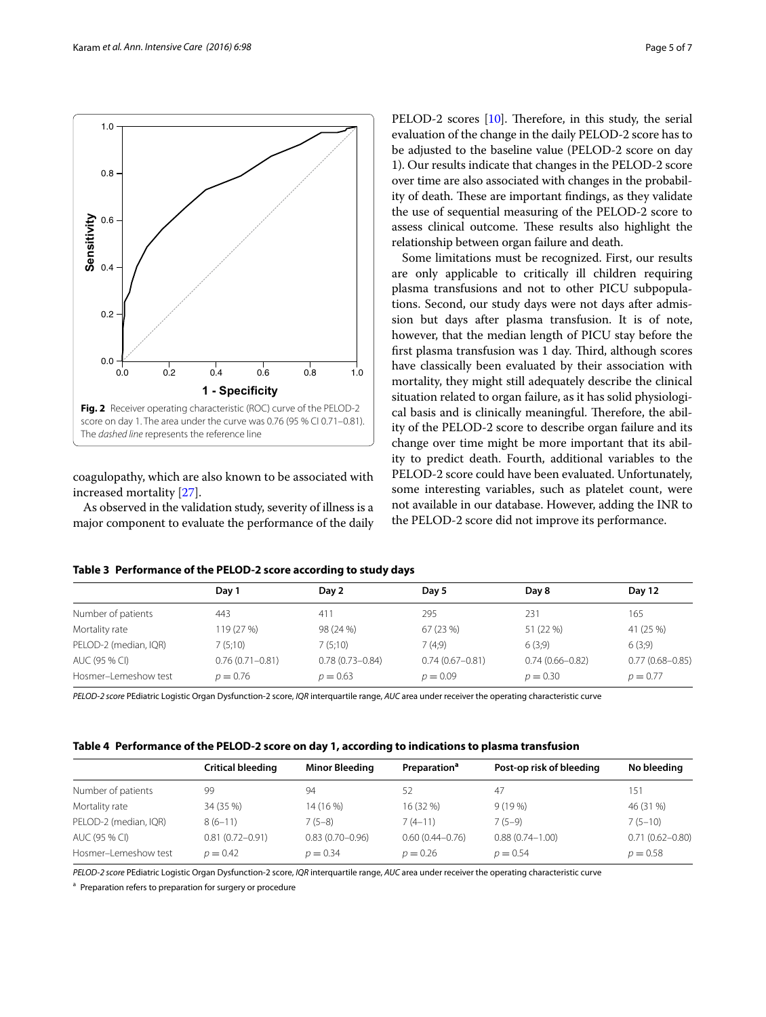

<span id="page-4-0"></span>coagulopathy, which are also known to be associated with increased mortality [[27](#page-6-22)].

As observed in the validation study, severity of illness is a major component to evaluate the performance of the daily PELOD-2 scores [[10](#page-6-6)]. Therefore, in this study, the serial evaluation of the change in the daily PELOD-2 score has to be adjusted to the baseline value (PELOD-2 score on day 1). Our results indicate that changes in the PELOD-2 score over time are also associated with changes in the probability of death. These are important findings, as they validate the use of sequential measuring of the PELOD-2 score to assess clinical outcome. These results also highlight the relationship between organ failure and death.

Some limitations must be recognized. First, our results are only applicable to critically ill children requiring plasma transfusions and not to other PICU subpopulations. Second, our study days were not days after admission but days after plasma transfusion. It is of note, however, that the median length of PICU stay before the first plasma transfusion was 1 day. Third, although scores have classically been evaluated by their association with mortality, they might still adequately describe the clinical situation related to organ failure, as it has solid physiological basis and is clinically meaningful. Therefore, the ability of the PELOD-2 score to describe organ failure and its change over time might be more important that its ability to predict death. Fourth, additional variables to the PELOD-2 score could have been evaluated. Unfortunately, some interesting variables, such as platelet count, were not available in our database. However, adding the INR to the PELOD-2 score did not improve its performance.

| Table 5 Performance of the PELOD-2 Score according to study days |                     |                     |                     |                     |                     |  |
|------------------------------------------------------------------|---------------------|---------------------|---------------------|---------------------|---------------------|--|
|                                                                  | Day 1               | Day 2               | Day 5               | Day 8               | Day 12              |  |
| Number of patients                                               | 443                 | 411                 | 295                 | 231                 | 165                 |  |
| Mortality rate                                                   | 119 (27 %)          | 98 (24 %)           | 67 (23 %)           | 51 (22 %)           | 41 (25 %)           |  |
| PELOD-2 (median, IQR)                                            | 7(5:10)             | 7(5;10)             | 7(4,9)              | 6(3,9)              | 6(3,9)              |  |
| AUC (95 % CI)                                                    | $0.76(0.71 - 0.81)$ | $0.78(0.73 - 0.84)$ | $0.74(0.67 - 0.81)$ | $0.74(0.66 - 0.82)$ | $0.77(0.68 - 0.85)$ |  |

Hosmer–Lemeshow test  $p = 0.76$   $p = 0.63$   $p = 0.99$   $p = 0.30$   $p = 0.77$ 

<span id="page-4-1"></span>**Table 3 Performance of the PELOD-2 score according to study days**

*PELOD-2 score* PEdiatric Logistic Organ Dysfunction-2 score, *IQR* interquartile range, *AUC* area under receiver the operating characteristic curve

<span id="page-4-2"></span>

| Table 4   Performance of the PELOD-2 score on day 1, according to indications to plasma transfusion |  |  |  |
|-----------------------------------------------------------------------------------------------------|--|--|--|
|-----------------------------------------------------------------------------------------------------|--|--|--|

|                       | Critical bleeding   | <b>Minor Bleeding</b> | Preparation <sup>a</sup> | Post-op risk of bleeding | No bleeding         |
|-----------------------|---------------------|-----------------------|--------------------------|--------------------------|---------------------|
| Number of patients    | 99                  | 94                    | 52                       | 47                       | 151                 |
| Mortality rate        | 34 (35 %)           | 14 (16 %)             | 16 (32 %)                | $9(19\%)$                | 46 (31 %)           |
| PELOD-2 (median, IQR) | $8(6-11)$           | $7(5-8)$              | $7(4-11)$                | $7(5-9)$                 | $7(5-10)$           |
| AUC (95 % CI)         | $0.81(0.72 - 0.91)$ | $0.83(0.70 - 0.96)$   | $0.60(0.44 - 0.76)$      | $0.88(0.74 - 1.00)$      | $0.71(0.62 - 0.80)$ |
| Hosmer-Lemeshow test  | $p = 0.42$          | $p = 0.34$            | $p = 0.26$               | $p = 0.54$               | $p = 0.58$          |

*PELOD-2 score* PEdiatric Logistic Organ Dysfunction-2 score, *IQR* interquartile range, *AUC* area under receiver the operating characteristic curve

<sup>a</sup> Preparation refers to preparation for surgery or procedure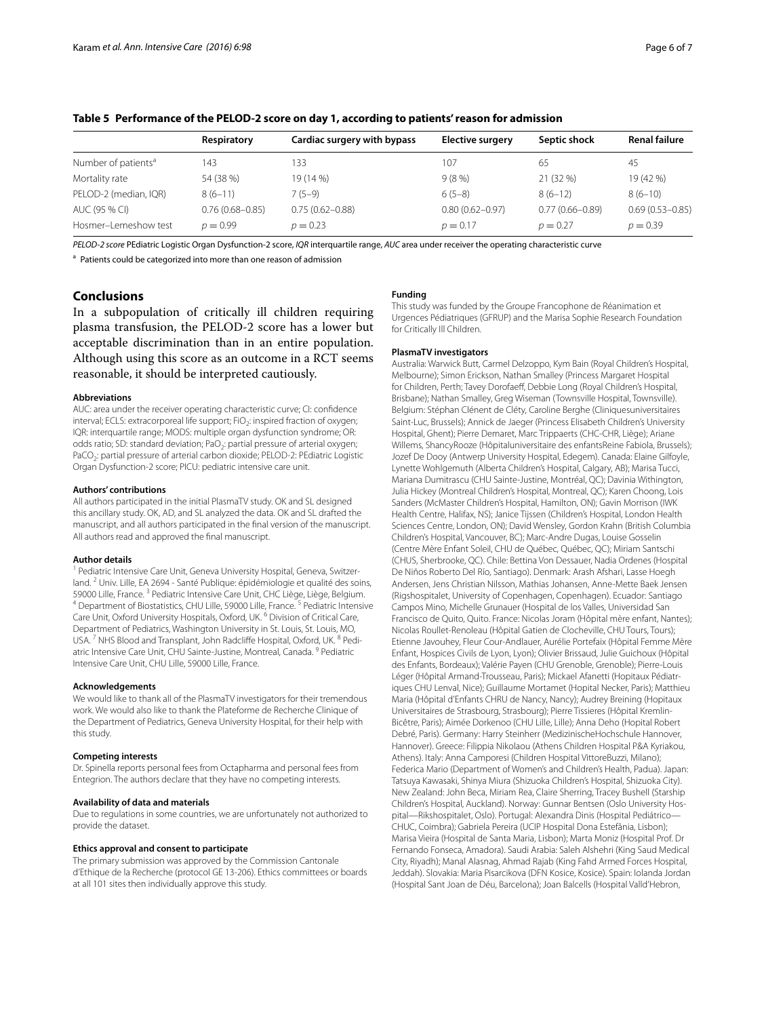|                                 | Respiratory         | Cardiac surgery with bypass | Elective surgery    | Septic shock        | <b>Renal failure</b> |
|---------------------------------|---------------------|-----------------------------|---------------------|---------------------|----------------------|
| Number of patients <sup>a</sup> | 143                 | 133                         | 107                 | 65                  | 45                   |
| Mortality rate                  | 54 (38 %)           | 19 (14 %)                   | 9(8%)               | 21 (32 %)           | 19 (42 %)            |
| PELOD-2 (median, IQR)           | $8(6-11)$           | 7 (5–9)                     | $6(5-8)$            | $8(6-12)$           | $8(6-10)$            |
| AUC (95 % CI)                   | $0.76(0.68 - 0.85)$ | $0.75(0.62 - 0.88)$         | $0.80(0.62 - 0.97)$ | $0.77(0.66 - 0.89)$ | $0.69(0.53 - 0.85)$  |
| Hosmer-Lemeshow test            | $p = 0.99$          | $p = 0.23$                  | $p = 0.17$          | $p = 0.27$          | $p = 0.39$           |

# <span id="page-5-0"></span>**Table 5 Performance of the PELOD-2 score on day 1, according to patients' reason for admission**

*PELOD-2 score* PEdiatric Logistic Organ Dysfunction-2 score, *IQR* interquartile range, *AUC* area under receiver the operating characteristic curve

<sup>a</sup> Patients could be categorized into more than one reason of admission

# **Conclusions**

In a subpopulation of critically ill children requiring plasma transfusion, the PELOD-2 score has a lower but acceptable discrimination than in an entire population. Although using this score as an outcome in a RCT seems reasonable, it should be interpreted cautiously.

### **Abbreviations**

AUC: area under the receiver operating characteristic curve; CI: confidence interval; ECLS: extracorporeal life support; FiO<sub>2</sub>: inspired fraction of oxygen; IQR: interquartile range; MODS: multiple organ dysfunction syndrome; OR: odds ratio; SD: standard deviation; PaO<sub>2</sub>: partial pressure of arterial oxygen; PaCO<sub>2</sub>: partial pressure of arterial carbon dioxide; PELOD-2: PEdiatric Logistic Organ Dysfunction-2 score; PICU: pediatric intensive care unit.

### **Authors' contributions**

All authors participated in the initial PlasmaTV study. OK and SL designed this ancillary study. OK, AD, and SL analyzed the data. OK and SL drafted the manuscript, and all authors participated in the final version of the manuscript. All authors read and approved the final manuscript.

## **Author details**

Pediatric Intensive Care Unit, Geneva University Hospital, Geneva, Switzerland. <sup>2</sup> Univ. Lille, EA 2694 - Santé Publique: épidémiologie et qualité des soins, 59000 Lille, France. <sup>3</sup> Pediatric Intensive Care Unit, CHC Liège, Liège, Belgium.<br><sup>4</sup> Department of Biostatistics, CHU Lille, 59000 Lille, France. <sup>5</sup> Pediatric Intensive Care Unit, Oxford University Hospitals, Oxford, UK. <sup>6</sup> Division of Critical Care, Department of Pediatrics, Washington University in St. Louis, St. Louis, MO, USA.<sup>7</sup> NHS Blood and Transplant, John Radcliffe Hospital, Oxford, UK.<sup>8</sup> Pediatric Intensive Care Unit, CHU Sainte-Justine, Montreal, Canada. <sup>9</sup> Pediatric Intensive Care Unit, CHU Lille, 59000 Lille, France.

### **Acknowledgements**

We would like to thank all of the PlasmaTV investigators for their tremendous work. We would also like to thank the Plateforme de Recherche Clinique of the Department of Pediatrics, Geneva University Hospital, for their help with this study.

## **Competing interests**

Dr. Spinella reports personal fees from Octapharma and personal fees from Entegrion. The authors declare that they have no competing interests.

### **Availability of data and materials**

Due to regulations in some countries, we are unfortunately not authorized to provide the dataset.

## **Ethics approval and consent to participate**

The primary submission was approved by the Commission Cantonale d'Ethique de la Recherche (protocol GE 13-206). Ethics committees or boards at all 101 sites then individually approve this study.

## **Funding**

This study was funded by the Groupe Francophone de Réanimation et Urgences Pédiatriques (GFRUP) and the Marisa Sophie Research Foundation for Critically Ill Children.

#### **PlasmaTV investigators**

Australia: Warwick Butt, Carmel Delzoppo, Kym Bain (Royal Children's Hospital, Melbourne); Simon Erickson, Nathan Smalley (Princess Margaret Hospital for Children, Perth; Tavey Dorofaeff, Debbie Long (Royal Children's Hospital, Brisbane); Nathan Smalley, Greg Wiseman (Townsville Hospital, Townsville). Belgium: Stéphan Clénent de Cléty, Caroline Berghe (Cliniquesuniversitaires Saint-Luc, Brussels); Annick de Jaeger (Princess Elisabeth Children's University Hospital, Ghent); Pierre Demaret, Marc Trippaerts (CHC-CHR, Liège); Ariane Willems, ShancyRooze (Hôpitaluniversitaire des enfantsReine Fabiola, Brussels); Jozef De Dooy (Antwerp University Hospital, Edegem). Canada: Elaine Gilfoyle, Lynette Wohlgemuth (Alberta Children's Hospital, Calgary, AB); Marisa Tucci, Mariana Dumitrascu (CHU Sainte-Justine, Montréal, QC); Davinia Withington, Julia Hickey (Montreal Children's Hospital, Montreal, QC); Karen Choong, Lois Sanders (McMaster Children's Hospital, Hamilton, ON); Gavin Morrison (IWK Health Centre, Halifax, NS); Janice Tijssen (Children's Hospital, London Health Sciences Centre, London, ON); David Wensley, Gordon Krahn (British Columbia Children's Hospital, Vancouver, BC); Marc-Andre Dugas, Louise Gosselin (Centre Mère Enfant Soleil, CHU de Québec, Québec, QC); Miriam Santschi (CHUS, Sherbrooke, QC). Chile: Bettina Von Dessauer, Nadia Ordenes (Hospital De Niños Roberto Del Río, Santiago). Denmark: Arash Afshari, Lasse Hoegh Andersen, Jens Christian Nilsson, Mathias Johansen, Anne-Mette Baek Jensen (Rigshospitalet, University of Copenhagen, Copenhagen). Ecuador: Santiago Campos Mino, Michelle Grunauer (Hospital de los Valles, Universidad San Francisco de Quito, Quito. France: Nicolas Joram (Hôpital mère enfant, Nantes); Nicolas Roullet-Renoleau (Hôpital Gatien de Clocheville, CHU Tours, Tours); Etienne Javouhey, Fleur Cour-Andlauer, Aurélie Portefaix (Hôpital Femme Mère Enfant, Hospices Civils de Lyon, Lyon); Olivier Brissaud, Julie Guichoux (Hôpital des Enfants, Bordeaux); Valérie Payen (CHU Grenoble, Grenoble); Pierre-Louis Léger (Hôpital Armand-Trousseau, Paris); Mickael Afanetti (Hopitaux Pédiatriques CHU Lenval, Nice); Guillaume Mortamet (Hopital Necker, Paris); Matthieu Maria (Hôpital d'Enfants CHRU de Nancy, Nancy); Audrey Breining (Hopitaux Universitaires de Strasbourg, Strasbourg); Pierre Tissieres (Hôpital Kremlin-Bicêtre, Paris); Aimée Dorkenoo (CHU Lille, Lille); Anna Deho (Hopital Robert Debré, Paris). Germany: Harry Steinherr (MedizinischeHochschule Hannover, Hannover). Greece: Filippia Nikolaou (Athens Children Hospital P&A Kyriakou, Athens). Italy: Anna Camporesi (Children Hospital VittoreBuzzi, Milano); Federica Mario (Department of Women's and Children's Health, Padua). Japan: Tatsuya Kawasaki, Shinya Miura (Shizuoka Children's Hospital, Shizuoka City). New Zealand: John Beca, Miriam Rea, Claire Sherring, Tracey Bushell (Starship Children's Hospital, Auckland). Norway: Gunnar Bentsen (Oslo University Hospital—Rikshospitalet, Oslo). Portugal: Alexandra Dinis (Hospital Pediátrico— CHUC, Coimbra); Gabriela Pereira (UCIP Hospital Dona Estefânia, Lisbon); Marisa Vieira (Hospital de Santa Maria, Lisbon); Marta Moniz (Hospital Prof. Dr Fernando Fonseca, Amadora). Saudi Arabia: Saleh Alshehri (King Saud Medical City, Riyadh); Manal Alasnag, Ahmad Rajab (King Fahd Armed Forces Hospital, Jeddah). Slovakia: Maria Pisarcikova (DFN Kosice, Kosice). Spain: Iolanda Jordan (Hospital Sant Joan de Déu, Barcelona); Joan Balcells (Hospital Valld'Hebron,